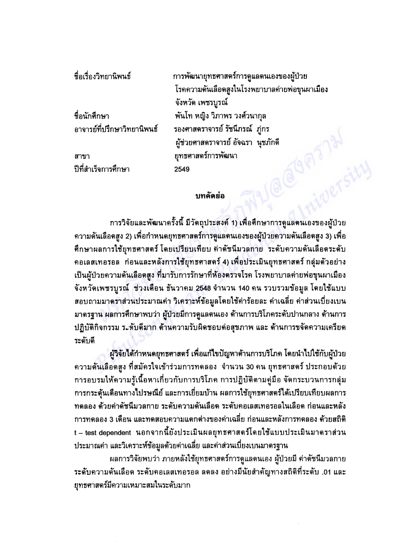| ชื่อเรื่องวิทยานิพนธ์       | การพัฒนายุทธศาสตร์การดูแลตนเองของผู้ป่วย       |
|-----------------------------|------------------------------------------------|
|                             | โรคความดันเลือดสูงในโรงพยาบาลค่ายพ่อขุนผาเมือง |
|                             | จังหวัด เพชรบูรณ์                              |
| ชื่อนักศึกษา                | พันโท หญิง วิภาพร วงศ์วนากุล                   |
| อาจารย์ที่ปรึกษาวิทยานิพนธ์ | รองศาสตราจารย์ รัชนึภรณ์  ภู่กร                |
|                             | ผู้ช่วยศาสตราจารย์ อัจฉรา นุชภักดี             |
| สาขา                        | ยุทธศาสตร์การพัฒนา                             |
| ปีที่สำเร็จการศึกษา         | 2549                                           |
|                             |                                                |

## บทคัดย่อ

การวิจัยและพัฒนาครั้งนี้ มีวัตถุประสงค์ 1) เพื่อศึกษาการดูแลตนเองของผู้ป่วย ี ความดันเลือดสูง 2) เพื่อกำหนดยุทธศาสตร์การดูแลตนเองของผู้ป่วยความดันเลือดสูง 3) เพื่อ ทึกษาผลการใช้ยุทธศาสตร์ โดยเปรียบเทียบ ค่าดัชนีมวลกาย ระดับความดันเลือดระดับ ึ คอเลสเทอรอล | ก่อนและหลังการใช้ยุทธศาสตร์ 4) เพื่อประเมินยุทธศาสตร์ กลุ่มตัวอย่าง ้เป็นผู้ป่วยความดันเลือดสูง ที่มารับการรักษาที่ห้องตรวจโรค โรงพยาบาลค่ายพ่อขุนผาเมือง จังหวัดเพชรบูรณ์ ช่วงเดือน ธันวาคม 2548 จำนวน 140 คน รวบรวมข้อมูล โดยใช้แบบ สอบถามมาตราส่วนประมาณค่า วิเคราะห์ข้อมูลโดยใช้ค่าร้อยละ ค่าเฉลี่ย ค่าส่วนเบี่ยงเบน มาตรฐาน ผลการศึกษาพบว่า ผู้ป่วยมีการดูแลตนเอง ด้านการบริโภคระดับปานกลาง ด้านการ ปฏิบัติกิจกรรม ระจับดีมาก ด้านความรับผิดชอบต่อสุขภาพ และ ด้านการขจัดความเครียด วะดับดี

ผู้วิจัยได้กำหนดยุทธศาสตร์ เพื่อแก้ไขปัญหาด้านการบริโภค โดยนำไปใช้กับผู้ป่วย ้ความดันเลือดสูง ที่สมัครใจเข้าร่วมการทดลอง จำนวน 30 คน ยุทธศาสตร์ ประกอบด้วย ้การอบรมให้ความรู้เนื้อหาเกี่ยวกับการบริโภค การปฏิบัติตามคู่มือ จัดกระบวนการกลุ่ม การกระตุ้นเดือนทางไปรษณีย์ และการเยี่ยมบ้าน ผลการใช้ยุทธศาสตร์ได้เปรียบเทียบผลการ ิทดลอง ด้วยค่าดัชนีมวลกาย ระดับความดันเลือด ระดับคอเลสเทอรอลในเลือด ก่อนและหลัง ิการทดลอง 3 เดือน และทดสอบความแตกต่างของค่าเฉลี่ย ก่อนและหลังการทดลอง ด้วยสถิติ t – test dependent นอกจากนี้ยังประเมินผลยุทธศาสตร์โดยใช้แบบประเมินมาตราส่วน ประมาณค่า และวิเคราะห์ข้อมูลด้วยค่าเฉลี่ย และค่าส่วนเบี่ยงเบนมาตรฐาน

ผลการวิจัยพบว่า ภายหลังใช้ยุทธศาสตร์การดูแลตนเอง ผู้ป่วยมี ค่าดัชนีมวลกาย ้ระดับความดันเลือด ระดับคอเลสเทอรอล ลดลง อย่างมีนัยสำคัญทางสถิติที่ระดับ .01 และ ยุทธศาสตร์มีความเหมาะสมในระดับมาก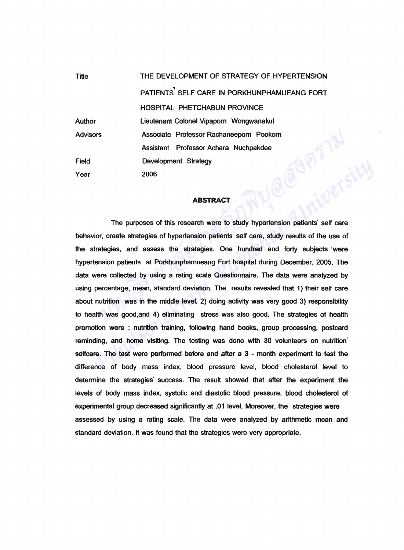| <b>Title</b>    | THE DEVELOPMENT OF STRATEGY OF HYPERTENSION              |
|-----------------|----------------------------------------------------------|
|                 | PATIENTS <sup>'</sup> SELF CARE IN PORKHUNPHAMUEANG FORT |
|                 | <b>HOSPITAL PHETCHABUN PROVINCE</b>                      |
| <b>Author</b>   | Lieutenant Colonel Vipaporn Wongwanakul                  |
| <b>Advisors</b> | Associate Professor Rachaneeporn Pookorn                 |
|                 | Assistant Professor Achara Nuchpakdee                    |
| Field           | Development Strategy                                     |
| Year            | 2006                                                     |

## **ABSTRACT**

The purposes of this research were to study hypertension patients' self care behavior, create strategies of hypertension patients' self care, study results of the use of the strategies, and assess the strategies. One hundred and forty subjects were hypertension patients at Porkhunphamueang Fort hospital during December, 2005. The data were collected by using a rating scale Questionnaire. The data were analyzed by using percentage, mean, standard deviation. The results revealed that 1) their self care about nutrition was in the middle level, 2) doing activity was very good 3) responsibility to health was good,and 4) eliminating stress was also good. The strategies of health promotion were : nutrition training, following hand books, group processing, postcard reminding, and home visiting. The testing was done with 30 volunteers on nutrition' selfcare. The test were performed before and after a 3 - month experiment to test the difference of body mass index, blood pressure level, blood cholesterol level to determine the strategies' success. The result showed that after the experiment the levels of body mass index, systolic and diastolic blood pressure, blood cholesterol of experimental group decreased significantly at .01 level. Moreover, the strategies were assessed by using a rating scale. The data were analyzed by arithmetic mean and standard deviation. It was found that the strategies were very appropriate.